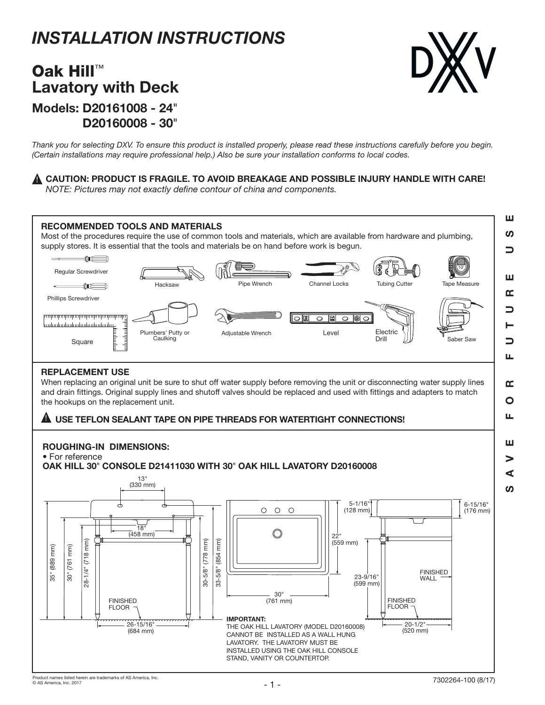# *INSTALLATION INSTRUCTIONS*

# Models: D20161008 - 24" D20160008 - 30" Oak Hill™ Lavatory with Deck



*Thank you for selecting DXV. To ensure this product is installed properly, please read these instructions carefully before you begin. (Certain installations may require professional help.) Also be sure your installation conforms to local codes.*

## $\blacktriangle$  CAUTION: PRODUCT IS FRAGILE. TO AVOID BREAKAGE AND POSSIBLE INJURY HANDLE WITH CARE!

*NOTE: Pictures may not exactly define contour of china and components.*

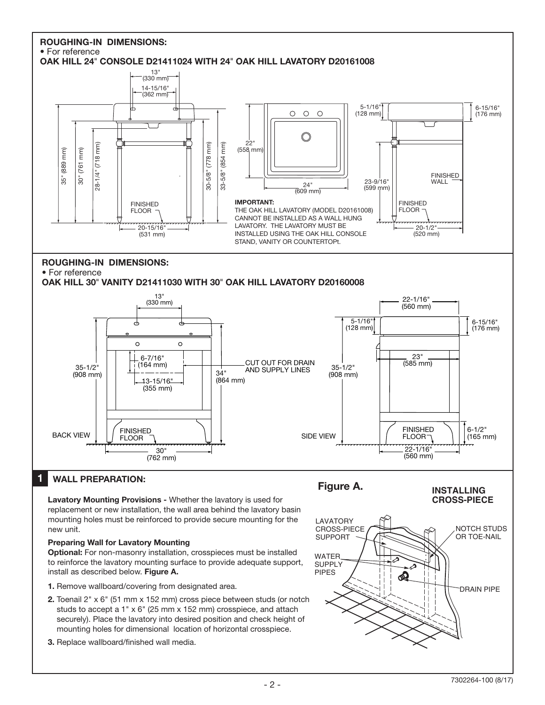